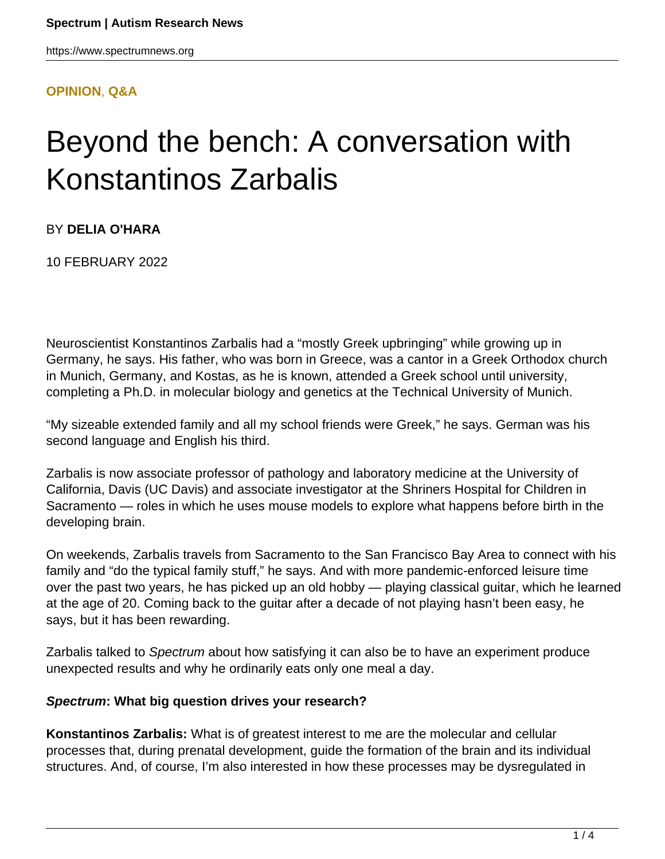#### **[OPINION](HTTPS://WWW.SPECTRUMNEWS.ORG/OPINION/)**, **[Q&A](HTTPS://WWW.SPECTRUMNEWS.ORG/OPINION/Q-AND-A/)**

# Beyond the bench: A conversation with Konstantinos Zarbalis

## BY **DELIA O'HARA**

10 FEBRUARY 2022

Neuroscientist Konstantinos Zarbalis had a "mostly Greek upbringing" while growing up in Germany, he says. His father, who was born in Greece, was a cantor in a Greek Orthodox church in Munich, Germany, and Kostas, as he is known, attended a Greek school until university, completing a Ph.D. in molecular biology and genetics at the Technical University of Munich.

"My sizeable extended family and all my school friends were Greek," he says. German was his second language and English his third.

Zarbalis is now associate professor of pathology and laboratory medicine at the University of California, Davis (UC Davis) and associate investigator at the Shriners Hospital for Children in Sacramento — roles in which he uses mouse models to explore what happens before birth in the developing brain.

On weekends, Zarbalis travels from Sacramento to the San Francisco Bay Area to connect with his family and "do the typical family stuff," he says. And with more pandemic-enforced leisure time over the past two years, he has picked up an old hobby — playing classical guitar, which he learned at the age of 20. Coming back to the guitar after a decade of not playing hasn't been easy, he says, but it has been rewarding.

Zarbalis talked to Spectrum about how satisfying it can also be to have an experiment produce unexpected results and why he ordinarily eats only one meal a day.

## **Spectrum: What big question drives your research?**

**Konstantinos Zarbalis:** What is of greatest interest to me are the molecular and cellular processes that, during prenatal development, guide the formation of the brain and its individual structures. And, of course, I'm also interested in how these processes may be dysregulated in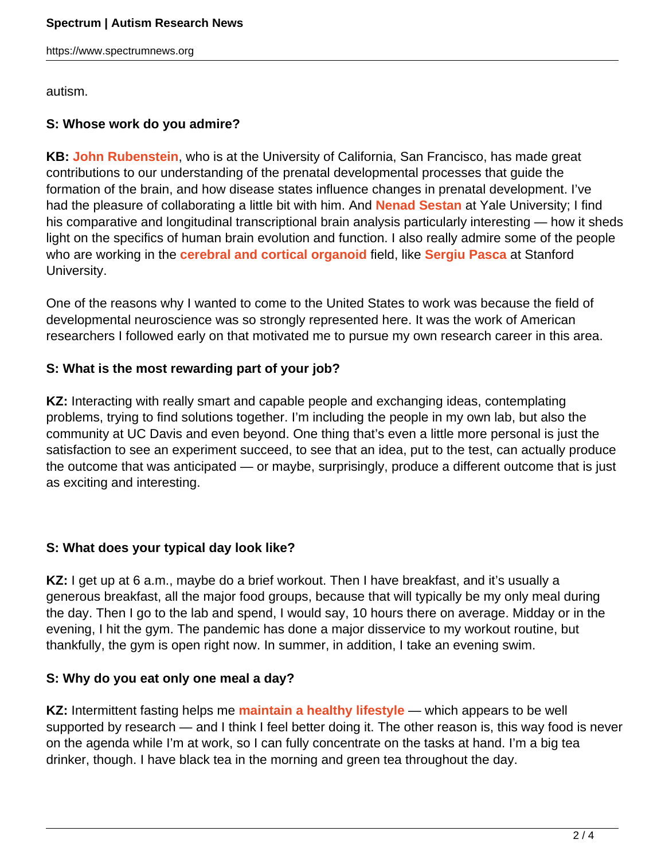https://www.spectrumnews.org

autism.

# **S: Whose work do you admire?**

**KB: [John Rubenstein](https://www.spectrumnews.org/author/jrubenstein/)**, who is at the University of California, San Francisco, has made great contributions to our understanding of the prenatal developmental processes that guide the formation of the brain, and how disease states influence changes in prenatal development. I've had the pleasure of collaborating a little bit with him. And **[Nenad Sestan](https://www.spectrumnews.org/author/nenadsestan/)** at Yale University; I find his comparative and longitudinal transcriptional brain analysis particularly interesting — how it sheds light on the specifics of human brain evolution and function. I also really admire some of the people who are working in the **[cerebral and cortical organoid](https://doi.org/10.1038/s41593-018-0107-3)** field, like **[Sergiu Pasca](https://www.spectrumnews.org/news/profiles/rising-star-sergiu-pasca-scientist-at-play/)** at Stanford University.

One of the reasons why I wanted to come to the United States to work was because the field of developmental neuroscience was so strongly represented here. It was the work of American researchers I followed early on that motivated me to pursue my own research career in this area.

# **S: What is the most rewarding part of your job?**

**KZ:** Interacting with really smart and capable people and exchanging ideas, contemplating problems, trying to find solutions together. I'm including the people in my own lab, but also the community at UC Davis and even beyond. One thing that's even a little more personal is just the satisfaction to see an experiment succeed, to see that an idea, put to the test, can actually produce the outcome that was anticipated — or maybe, surprisingly, produce a different outcome that is just as exciting and interesting.

## **S: What does your typical day look like?**

KZ: I get up at 6 a.m., maybe do a brief workout. Then I have breakfast, and it's usually a generous breakfast, all the major food groups, because that will typically be my only meal during the day. Then I go to the lab and spend, I would say, 10 hours there on average. Midday or in the evening, I hit the gym. The pandemic has done a major disservice to my workout routine, but thankfully, the gym is open right now. In summer, in addition, I take an evening swim.

# **S: Why do you eat only one meal a day?**

**KZ:** Intermittent fasting helps me **[maintain a healthy lifestyle](http://doi.org/10.1056/NEJMra1905136)** — which appears to be well supported by research — and I think I feel better doing it. The other reason is, this way food is never on the agenda while I'm at work, so I can fully concentrate on the tasks at hand. I'm a big tea drinker, though. I have black tea in the morning and green tea throughout the day.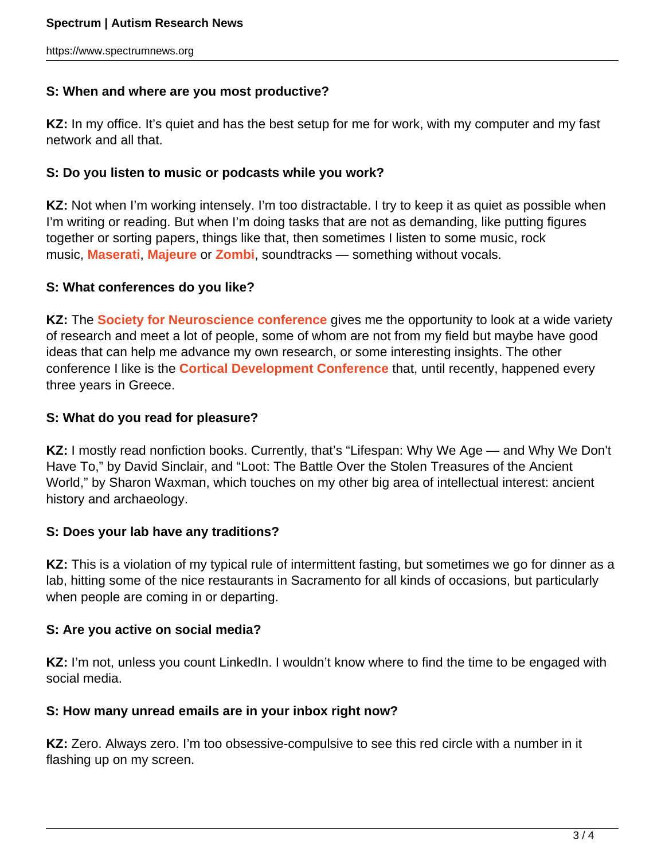#### **S: When and where are you most productive?**

**KZ:** In my office. It's quiet and has the best setup for me for work, with my computer and my fast network and all that.

#### **S: Do you listen to music or podcasts while you work?**

**KZ:** Not when I'm working intensely. I'm too distractable. I try to keep it as quiet as possible when I'm writing or reading. But when I'm doing tasks that are not as demanding, like putting figures together or sorting papers, things like that, then sometimes I listen to some music, rock music, **[Maserati](https://maserati.bandcamp.com/music)**, **[Majeure](https://majeure.bandcamp.com/)** or **[Zombi](https://zombi.bandcamp.com/)**, soundtracks — something without vocals.

#### **S: What conferences do you like?**

**KZ:** The **[Society for Neuroscience conference](https://www.spectrumnews.org/conference-news/society-for-neuroscience-2021/)** gives me the opportunity to look at a wide variety of research and meet a lot of people, some of whom are not from my field but maybe have good ideas that can help me advance my own research, or some interesting insights. The other conference I like is the **[Cortical Development Conference](https://corticaldevelopment.wordpress.com/)** that, until recently, happened every three years in Greece.

#### **S: What do you read for pleasure?**

**KZ:** I mostly read nonfiction books. Currently, that's "Lifespan: Why We Age — and Why We Don't Have To," by David Sinclair, and "Loot: The Battle Over the Stolen Treasures of the Ancient World," by Sharon Waxman, which touches on my other big area of intellectual interest: ancient history and archaeology.

#### **S: Does your lab have any traditions?**

**KZ:** This is a violation of my typical rule of intermittent fasting, but sometimes we go for dinner as a lab, hitting some of the nice restaurants in Sacramento for all kinds of occasions, but particularly when people are coming in or departing.

#### **S: Are you active on social media?**

KZ: I'm not, unless you count LinkedIn. I wouldn't know where to find the time to be engaged with social media.

## **S: How many unread emails are in your inbox right now?**

**KZ:** Zero. Always zero. I'm too obsessive-compulsive to see this red circle with a number in it flashing up on my screen.